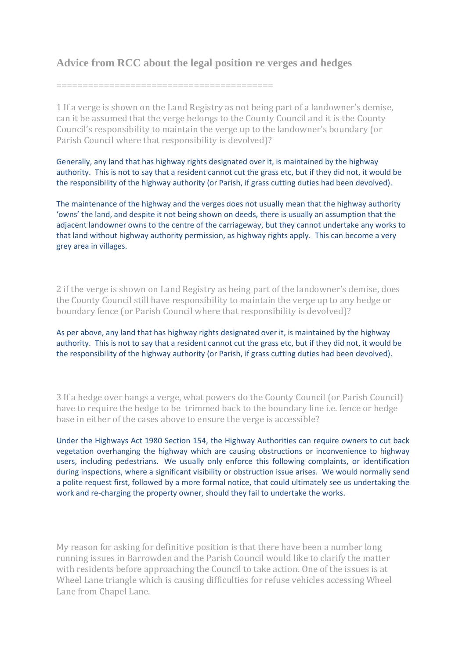## **Advice from RCC about the legal position re verges and hedges**

=========================================

1 If a verge is shown on the Land Registry as not being part of a landowner's demise, can it be assumed that the verge belongs to the County Council and it is the County Council's responsibility to maintain the verge up to the landowner's boundary (or Parish Council where that responsibility is devolved)?

Generally, any land that has highway rights designated over it, is maintained by the highway authority. This is not to say that a resident cannot cut the grass etc, but if they did not, it would be the responsibility of the highway authority (or Parish, if grass cutting duties had been devolved).

The maintenance of the highway and the verges does not usually mean that the highway authority 'owns' the land, and despite it not being shown on deeds, there is usually an assumption that the adjacent landowner owns to the centre of the carriageway, but they cannot undertake any works to that land without highway authority permission, as highway rights apply. This can become a very grey area in villages.

2 if the verge is shown on Land Registry as being part of the landowner's demise, does the County Council still have responsibility to maintain the verge up to any hedge or boundary fence (or Parish Council where that responsibility is devolved)?

As per above, any land that has highway rights designated over it, is maintained by the highway authority. This is not to say that a resident cannot cut the grass etc, but if they did not, it would be the responsibility of the highway authority (or Parish, if grass cutting duties had been devolved).

3 If a hedge over hangs a verge, what powers do the County Council (or Parish Council) have to require the hedge to be trimmed back to the boundary line i.e. fence or hedge base in either of the cases above to ensure the verge is accessible?

Under the Highways Act 1980 Section 154, the Highway Authorities can require owners to cut back vegetation overhanging the highway which are causing obstructions or inconvenience to highway users, including pedestrians. We usually only enforce this following complaints, or identification during inspections, where a significant visibility or obstruction issue arises. We would normally send a polite request first, followed by a more formal notice, that could ultimately see us undertaking the work and re-charging the property owner, should they fail to undertake the works.

My reason for asking for definitive position is that there have been a number long running issues in Barrowden and the Parish Council would like to clarify the matter with residents before approaching the Council to take action. One of the issues is at Wheel Lane triangle which is causing difficulties for refuse vehicles accessing Wheel Lane from Chapel Lane.